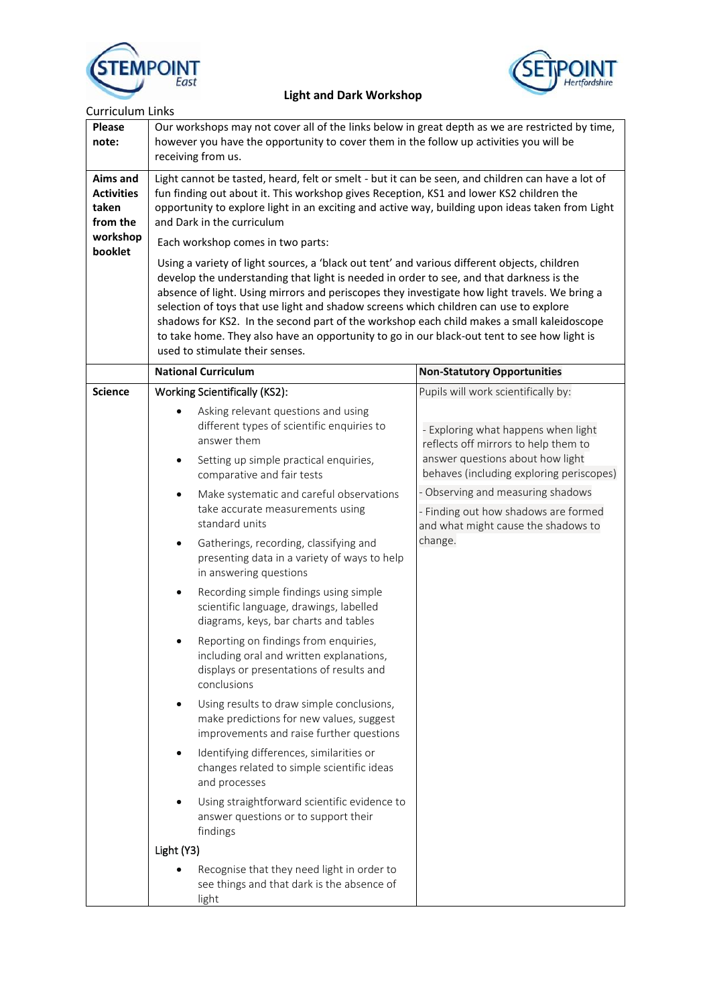



| <b>Curriculum Links</b>                            |                                                                                                                                                                                                                                                                                                                                                                                                                                                                                                                                                                                                                                                                                                                                                                                                                                                                                                                                                                                                                                                                                                                                                             |                                                                                                                                                                                                                                                                                                                                   |  |
|----------------------------------------------------|-------------------------------------------------------------------------------------------------------------------------------------------------------------------------------------------------------------------------------------------------------------------------------------------------------------------------------------------------------------------------------------------------------------------------------------------------------------------------------------------------------------------------------------------------------------------------------------------------------------------------------------------------------------------------------------------------------------------------------------------------------------------------------------------------------------------------------------------------------------------------------------------------------------------------------------------------------------------------------------------------------------------------------------------------------------------------------------------------------------------------------------------------------------|-----------------------------------------------------------------------------------------------------------------------------------------------------------------------------------------------------------------------------------------------------------------------------------------------------------------------------------|--|
| <b>Please</b><br>note:                             | Our workshops may not cover all of the links below in great depth as we are restricted by time,<br>however you have the opportunity to cover them in the follow up activities you will be<br>receiving from us.                                                                                                                                                                                                                                                                                                                                                                                                                                                                                                                                                                                                                                                                                                                                                                                                                                                                                                                                             |                                                                                                                                                                                                                                                                                                                                   |  |
| Aims and<br><b>Activities</b><br>taken<br>from the | Light cannot be tasted, heard, felt or smelt - but it can be seen, and children can have a lot of<br>fun finding out about it. This workshop gives Reception, KS1 and lower KS2 children the<br>opportunity to explore light in an exciting and active way, building upon ideas taken from Light<br>and Dark in the curriculum                                                                                                                                                                                                                                                                                                                                                                                                                                                                                                                                                                                                                                                                                                                                                                                                                              |                                                                                                                                                                                                                                                                                                                                   |  |
| workshop                                           | Each workshop comes in two parts:                                                                                                                                                                                                                                                                                                                                                                                                                                                                                                                                                                                                                                                                                                                                                                                                                                                                                                                                                                                                                                                                                                                           |                                                                                                                                                                                                                                                                                                                                   |  |
| booklet                                            | Using a variety of light sources, a 'black out tent' and various different objects, children<br>develop the understanding that light is needed in order to see, and that darkness is the<br>absence of light. Using mirrors and periscopes they investigate how light travels. We bring a<br>selection of toys that use light and shadow screens which children can use to explore<br>shadows for KS2. In the second part of the workshop each child makes a small kaleidoscope<br>to take home. They also have an opportunity to go in our black-out tent to see how light is<br>used to stimulate their senses.                                                                                                                                                                                                                                                                                                                                                                                                                                                                                                                                           |                                                                                                                                                                                                                                                                                                                                   |  |
|                                                    | <b>National Curriculum</b>                                                                                                                                                                                                                                                                                                                                                                                                                                                                                                                                                                                                                                                                                                                                                                                                                                                                                                                                                                                                                                                                                                                                  | <b>Non-Statutory Opportunities</b>                                                                                                                                                                                                                                                                                                |  |
| <b>Science</b>                                     | <b>Working Scientifically (KS2):</b><br>Asking relevant questions and using<br>different types of scientific enquiries to<br>answer them<br>Setting up simple practical enquiries,<br>$\bullet$<br>comparative and fair tests<br>Make systematic and careful observations<br>٠<br>take accurate measurements using<br>standard units<br>Gatherings, recording, classifying and<br>٠<br>presenting data in a variety of ways to help<br>in answering questions<br>Recording simple findings using simple<br>scientific language, drawings, labelled<br>diagrams, keys, bar charts and tables<br>Reporting on findings from enquiries,<br>including oral and written explanations,<br>displays or presentations of results and<br>conclusions<br>Using results to draw simple conclusions,<br>make predictions for new values, suggest<br>improvements and raise further questions<br>Identifying differences, similarities or<br>changes related to simple scientific ideas<br>and processes<br>Using straightforward scientific evidence to<br>answer questions or to support their<br>findings<br>Light (Y3)<br>Recognise that they need light in order to | Pupils will work scientifically by:<br>- Exploring what happens when light<br>reflects off mirrors to help them to<br>answer questions about how light<br>behaves (including exploring periscopes)<br>- Observing and measuring shadows<br>- Finding out how shadows are formed<br>and what might cause the shadows to<br>change. |  |
|                                                    | see things and that dark is the absence of<br>light                                                                                                                                                                                                                                                                                                                                                                                                                                                                                                                                                                                                                                                                                                                                                                                                                                                                                                                                                                                                                                                                                                         |                                                                                                                                                                                                                                                                                                                                   |  |